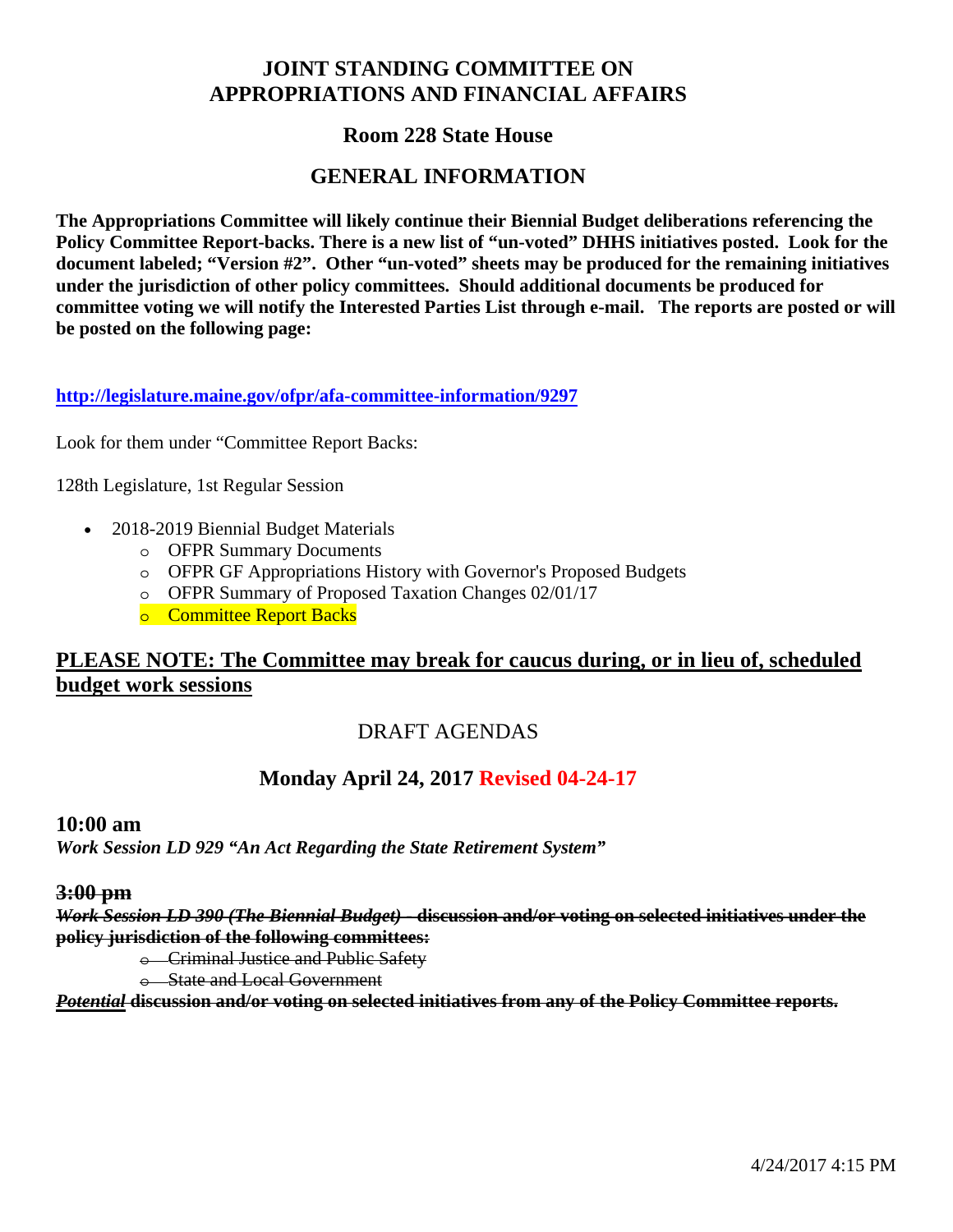# **JOINT STANDING COMMITTEE ON APPROPRIATIONS AND FINANCIAL AFFAIRS**

## **Room 228 State House**

## **GENERAL INFORMATION**

**The Appropriations Committee will likely continue their Biennial Budget deliberations referencing the Policy Committee Report-backs. There is a new list of "un-voted" DHHS initiatives posted. Look for the document labeled; "Version #2". Other "un-voted" sheets may be produced for the remaining initiatives under the jurisdiction of other policy committees. Should additional documents be produced for committee voting we will notify the Interested Parties List through e-mail. The reports are posted or will be posted on the following page:** 

#### **http://legislature.maine.gov/ofpr/afa-committee-information/9297**

Look for them under "Committee Report Backs:

128th Legislature, 1st Regular Session

- 2018-2019 Biennial Budget Materials
	- o OFPR Summary Documents
	- o OFPR GF Appropriations History with Governor's Proposed Budgets
	- o OFPR Summary of Proposed Taxation Changes 02/01/17
	- o Committee Report Backs

### **PLEASE NOTE: The Committee may break for caucus during, or in lieu of, scheduled budget work sessions**

## DRAFT AGENDAS

# **Monday April 24, 2017 Revised 04-24-17**

#### **10:00 am**

*Work Session LD 929 "An Act Regarding the State Retirement System"* 

### **3:00 pm**

*Work Session LD 390 (The Biennial Budget) -* **discussion and/or voting on selected initiatives under the policy jurisdiction of the following committees:** 

o Criminal Justice and Public Safety

o State and Local Government

*Potential* **discussion and/or voting on selected initiatives from any of the Policy Committee reports.**